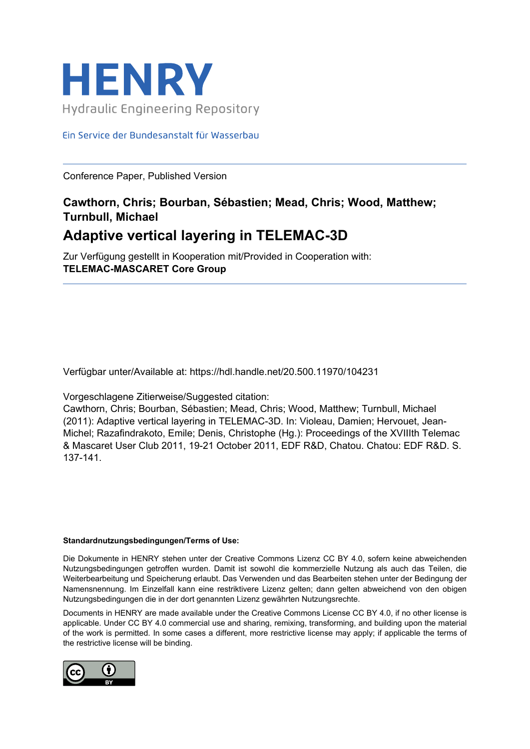

#### Ein Service der Bundesanstalt für Wasserbau

Conference Paper, Published Version

### **Cawthorn, Chris; Bourban, Sébastien; Mead, Chris; Wood, Matthew; Turnbull, Michael**

## **Adaptive vertical layering in TELEMAC-3D**

Zur Verfügung gestellt in Kooperation mit/Provided in Cooperation with: **TELEMAC-MASCARET Core Group**

Verfügbar unter/Available at: https://hdl.handle.net/20.500.11970/104231

Vorgeschlagene Zitierweise/Suggested citation:

Cawthorn, Chris; Bourban, Sébastien; Mead, Chris; Wood, Matthew; Turnbull, Michael (2011): Adaptive vertical layering in TELEMAC-3D. In: Violeau, Damien; Hervouet, Jean-Michel; Razafindrakoto, Emile; Denis, Christophe (Hg.): Proceedings of the XVIIIth Telemac & Mascaret User Club 2011, 19-21 October 2011, EDF R&D, Chatou. Chatou: EDF R&D. S. 137-141.

#### **Standardnutzungsbedingungen/Terms of Use:**

Die Dokumente in HENRY stehen unter der Creative Commons Lizenz CC BY 4.0, sofern keine abweichenden Nutzungsbedingungen getroffen wurden. Damit ist sowohl die kommerzielle Nutzung als auch das Teilen, die Weiterbearbeitung und Speicherung erlaubt. Das Verwenden und das Bearbeiten stehen unter der Bedingung der Namensnennung. Im Einzelfall kann eine restriktivere Lizenz gelten; dann gelten abweichend von den obigen Nutzungsbedingungen die in der dort genannten Lizenz gewährten Nutzungsrechte.

Documents in HENRY are made available under the Creative Commons License CC BY 4.0, if no other license is applicable. Under CC BY 4.0 commercial use and sharing, remixing, transforming, and building upon the material of the work is permitted. In some cases a different, more restrictive license may apply; if applicable the terms of the restrictive license will be binding.

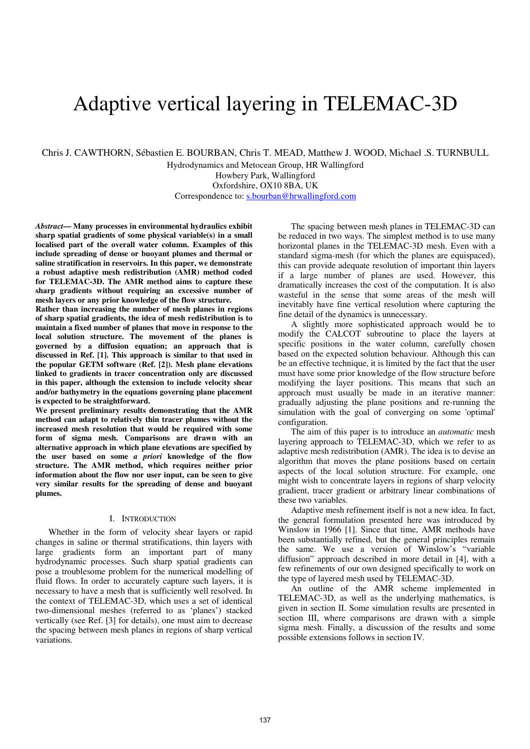# Adaptive vertical layering in TELEMAC-3D

Chris J. CAWTHORN, Sébastien E. BOURBAN, Chris T. MEAD, Matthew J. WOOD, Michael .S. TURNBULL

Hydrodynamics and Metocean Group, HR Wallingford Howbery Park, Wallingford Oxfordshire, OX10 8BA, UK Correspondence to: s.bourban@hrwallingford.com

*Abstract***— Many processes in environmental hydraulics exhibit sharp spatial gradients of some physical variable(s) in a small localised part of the overall water column. Examples of this include spreading of dense or buoyant plumes and thermal or saline stratification in reservoirs. In this paper, we demonstrate a robust adaptive mesh redistribution (AMR) method coded for TELEMAC-3D. The AMR method aims to capture these sharp gradients without requiring an excessive number of mesh layers or any prior knowledge of the flow structure.** 

**Rather than increasing the number of mesh planes in regions of sharp spatial gradients, the idea of mesh redistribution is to maintain a fixed number of planes that move in response to the local solution structure. The movement of the planes is governed by a diffusion equation; an approach that is discussed in Ref. [1]. This approach is similar to that used in the popular GETM software (Ref. [2]). Mesh plane elevations linked to gradients in tracer concentration only are discussed in this paper, although the extension to include velocity shear and/or bathymetry in the equations governing plane placement is expected to be straightforward.** 

**We present preliminary results demonstrating that the AMR method can adapt to relatively thin tracer plumes without the increased mesh resolution that would be required with some form of sigma mesh. Comparisons are drawn with an alternative approach in which plane elevations are specified by the user based on some** *a priori* **knowledge of the flow structure. The AMR method, which requires neither prior information about the flow nor user input, can be seen to give very similar results for the spreading of dense and buoyant plumes.** 

#### I. INTRODUCTION

Whether in the form of velocity shear layers or rapid changes in saline or thermal stratifications, thin layers with large gradients form an important part of many hydrodynamic processes. Such sharp spatial gradients can pose a troublesome problem for the numerical modelling of fluid flows. In order to accurately capture such layers, it is necessary to have a mesh that is sufficiently well resolved. In the context of TELEMAC-3D, which uses a set of identical two-dimensional meshes (referred to as 'planes') stacked vertically (see Ref. [3] for details), one must aim to decrease the spacing between mesh planes in regions of sharp vertical variations.

The spacing between mesh planes in TELEMAC-3D can be reduced in two ways. The simplest method is to use many horizontal planes in the TELEMAC-3D mesh. Even with a standard sigma-mesh (for which the planes are equispaced), this can provide adequate resolution of important thin layers if a large number of planes are used. However, this dramatically increases the cost of the computation. It is also wasteful in the sense that some areas of the mesh will inevitably have fine vertical resolution where capturing the fine detail of the dynamics is unnecessary.

A slightly more sophisticated approach would be to modify the CALCOT subroutine to place the layers at specific positions in the water column, carefully chosen based on the expected solution behaviour. Although this can be an effective technique, it is limited by the fact that the user must have some prior knowledge of the flow structure before modifying the layer positions. This means that such an approach must usually be made in an iterative manner: gradually adjusting the plane positions and re-running the simulation with the goal of converging on some 'optimal' configuration.

The aim of this paper is to introduce an *automatic* mesh layering approach to TELEMAC-3D, which we refer to as adaptive mesh redistribution (AMR). The idea is to devise an algorithm that moves the plane positions based on certain aspects of the local solution structure. For example, one might wish to concentrate layers in regions of sharp velocity gradient, tracer gradient or arbitrary linear combinations of these two variables.

Adaptive mesh refinement itself is not a new idea. In fact, the general formulation presented here was introduced by Winslow in 1966 [1]. Since that time, AMR methods have been substantially refined, but the general principles remain the same. We use a version of Winslow's "variable diffusion" approach described in more detail in [4], with a few refinements of our own designed specifically to work on the type of layered mesh used by TELEMAC-3D.

An outline of the AMR scheme implemented in TELEMAC-3D, as well as the underlying mathematics, is given in section II. Some simulation results are presented in section III, where comparisons are drawn with a simple sigma mesh. Finally, a discussion of the results and some possible extensions follows in section IV.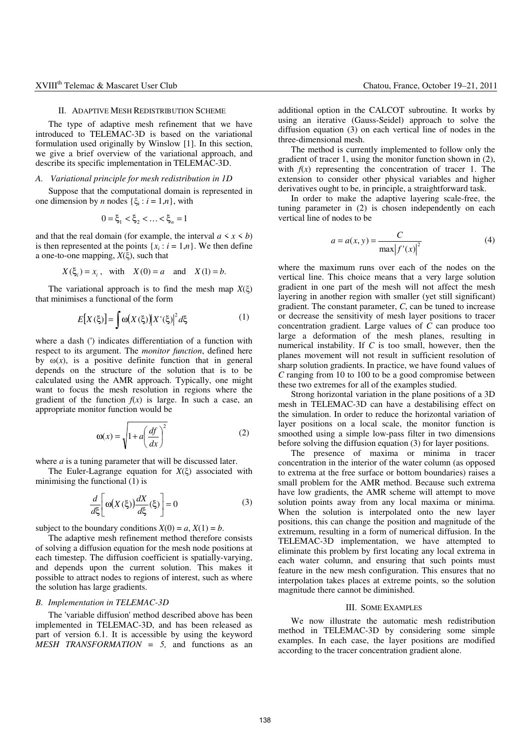#### II. ADAPTIVE MESH REDISTRIBUTION SCHEME

The type of adaptive mesh refinement that we have introduced to TELEMAC-3D is based on the variational formulation used originally by Winslow [1]. In this section, we give a brief overview of the variational approach, and describe its specific implementation in TELEMAC-3D.

#### *A. Variational principle for mesh redistribution in 1D*

Suppose that the computational domain is represented in one dimension by *n* nodes  $\{\xi_i : i = 1, n\}$ , with

$$
0 = \xi_1 < \xi_2 < \ldots < \xi_n = 1
$$

and that the real domain (for example, the interval  $a \leq x \leq b$ ) is then represented at the points  $\{x_i : i = 1, n\}$ . We then define a one-to-one mapping, *X*(ξ), such that

$$
X(\xi_i) = x_i, \quad \text{with} \quad X(0) = a \quad \text{and} \quad X(1) = b.
$$

The variational approach is to find the mesh map  $X(\xi)$ that minimises a functional of the form

$$
E[X(\xi)] = \int \omega(X(\xi)) |X'(\xi)|^2 d\xi \tag{1}
$$

where a dash (') indicates differentiation of a function with respect to its argument. The *monitor function*, defined here by  $\omega(x)$ , is a positive definite function that in general depends on the structure of the solution that is to be calculated using the AMR approach. Typically, one might want to focus the mesh resolution in regions where the gradient of the function  $f(x)$  is large. In such a case, an appropriate monitor function would be

$$
\omega(x) = \sqrt{1 + a \left(\frac{df}{dx}\right)^2}
$$
 (2)

where *a* is a tuning parameter that will be discussed later.

The Euler-Lagrange equation for *X*(ξ) associated with minimising the functional  $(1)$  is

$$
\frac{d}{d\xi} \left[ \omega(X(\xi)) \frac{dX}{d\xi}(\xi) \right] = 0 \tag{3}
$$

subject to the boundary conditions  $X(0) = a, X(1) = b$ .

The adaptive mesh refinement method therefore consists of solving a diffusion equation for the mesh node positions at each timestep. The diffusion coefficient is spatially-varying, and depends upon the current solution. This makes it possible to attract nodes to regions of interest, such as where the solution has large gradients.

#### *B. Implementation in TELEMAC-3D*

The 'variable diffusion' method described above has been implemented in TELEMAC-3D, and has been released as part of version 6.1. It is accessible by using the keyword *MESH TRANSFORMATION = 5,* and functions as an

additional option in the CALCOT subroutine. It works by using an iterative (Gauss-Seidel) approach to solve the diffusion equation (3) on each vertical line of nodes in the three-dimensional mesh.

The method is currently implemented to follow only the gradient of tracer 1, using the monitor function shown in (2), with  $f(x)$  representing the concentration of tracer 1. The extension to consider other physical variables and higher derivatives ought to be, in principle, a straightforward task.

In order to make the adaptive layering scale-free, the tuning parameter in (2) is chosen independently on each vertical line of nodes to be

$$
a = a(x, y) = \frac{C}{\max |f'(x)|^2}
$$
 (4)

where the maximum runs over each of the nodes on the vertical line. This choice means that a very large solution gradient in one part of the mesh will not affect the mesh layering in another region with smaller (yet still significant) gradient. The constant parameter, *C*, can be tuned to increase or decrease the sensitivity of mesh layer positions to tracer concentration gradient. Large values of  $\tilde{C}$  can produce too large a deformation of the mesh planes, resulting in numerical instability. If *C* is too small, however, then the planes movement will not result in sufficient resolution of sharp solution gradients. In practice, we have found values of *C* ranging from 10 to 100 to be a good compromise between these two extremes for all of the examples studied.

Strong horizontal variation in the plane positions of a 3D mesh in TELEMAC-3D can have a destabilising effect on the simulation. In order to reduce the horizontal variation of layer positions on a local scale, the monitor function is smoothed using a simple low-pass filter in two dimensions before solving the diffusion equation (3) for layer positions.

The presence of maxima or minima in tracer concentration in the interior of the water column (as opposed to extrema at the free surface or bottom boundaries) raises a small problem for the AMR method. Because such extrema have low gradients, the AMR scheme will attempt to move solution points away from any local maxima or minima. When the solution is interpolated onto the new layer positions, this can change the position and magnitude of the extremum, resulting in a form of numerical diffusion. In the TELEMAC-3D implementation, we have attempted to eliminate this problem by first locating any local extrema in each water column, and ensuring that such points must feature in the new mesh configuration. This ensures that no interpolation takes places at extreme points, so the solution magnitude there cannot be diminished.

#### III. SOME EXAMPLES

We now illustrate the automatic mesh redistribution method in TELEMAC-3D by considering some simple examples. In each case, the layer positions are modified according to the tracer concentration gradient alone.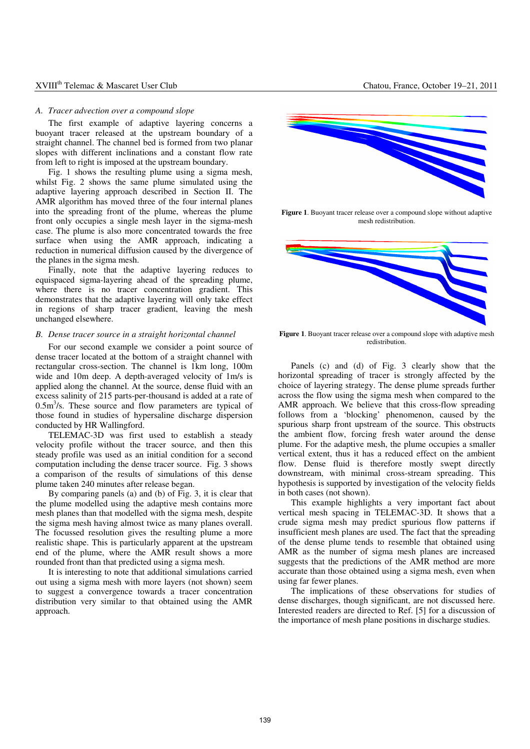#### XVIII<sup>th</sup> Telemac & Mascaret User Club Chatou, France, October 19–21, 2011

#### *A. Tracer advection over a compound slope*

The first example of adaptive layering concerns a buoyant tracer released at the upstream boundary of a straight channel. The channel bed is formed from two planar slopes with different inclinations and a constant flow rate from left to right is imposed at the upstream boundary.

Fig. 1 shows the resulting plume using a sigma mesh, whilst Fig. 2 shows the same plume simulated using the adaptive layering approach described in Section II. The AMR algorithm has moved three of the four internal planes into the spreading front of the plume, whereas the plume front only occupies a single mesh layer in the sigma-mesh case. The plume is also more concentrated towards the free surface when using the AMR approach, indicating a reduction in numerical diffusion caused by the divergence of the planes in the sigma mesh.

Finally, note that the adaptive layering reduces to equispaced sigma-layering ahead of the spreading plume, where there is no tracer concentration gradient. This demonstrates that the adaptive layering will only take effect in regions of sharp tracer gradient, leaving the mesh unchanged elsewhere.

#### *B. Dense tracer source in a straight horizontal channel*

For our second example we consider a point source of dense tracer located at the bottom of a straight channel with rectangular cross-section. The channel is 1km long, 100m wide and 10m deep. A depth-averaged velocity of 1m/s is applied along the channel. At the source, dense fluid with an excess salinity of 215 parts-per-thousand is added at a rate of  $0.5 \text{m}^3/\text{s}$ . These source and flow parameters are typical of those found in studies of hypersaline discharge dispersion conducted by HR Wallingford.

TELEMAC-3D was first used to establish a steady velocity profile without the tracer source, and then this steady profile was used as an initial condition for a second computation including the dense tracer source. Fig. 3 shows a comparison of the results of simulations of this dense plume taken 240 minutes after release began.

By comparing panels (a) and (b) of Fig. 3, it is clear that the plume modelled using the adaptive mesh contains more mesh planes than that modelled with the sigma mesh, despite the sigma mesh having almost twice as many planes overall. The focussed resolution gives the resulting plume a more realistic shape. This is particularly apparent at the upstream end of the plume, where the AMR result shows a more rounded front than that predicted using a sigma mesh.

It is interesting to note that additional simulations carried out using a sigma mesh with more layers (not shown) seem to suggest a convergence towards a tracer concentration distribution very similar to that obtained using the AMR approach.



**Figure 1**. Buoyant tracer release over a compound slope without adaptive mesh redistribution.



Figure 1. Buoyant tracer release over a compound slope with adaptive mesh redistribution.

Panels (c) and (d) of Fig. 3 clearly show that the horizontal spreading of tracer is strongly affected by the choice of layering strategy. The dense plume spreads further across the flow using the sigma mesh when compared to the AMR approach. We believe that this cross-flow spreading follows from a 'blocking' phenomenon, caused by the spurious sharp front upstream of the source. This obstructs the ambient flow, forcing fresh water around the dense plume. For the adaptive mesh, the plume occupies a smaller vertical extent, thus it has a reduced effect on the ambient flow. Dense fluid is therefore mostly swept directly downstream, with minimal cross-stream spreading. This hypothesis is supported by investigation of the velocity fields in both cases (not shown).

This example highlights a very important fact about vertical mesh spacing in TELEMAC-3D. It shows that a crude sigma mesh may predict spurious flow patterns if insufficient mesh planes are used. The fact that the spreading of the dense plume tends to resemble that obtained using AMR as the number of sigma mesh planes are increased suggests that the predictions of the AMR method are more accurate than those obtained using a sigma mesh, even when using far fewer planes.

The implications of these observations for studies of dense discharges, though significant, are not discussed here. Interested readers are directed to Ref. [5] for a discussion of the importance of mesh plane positions in discharge studies.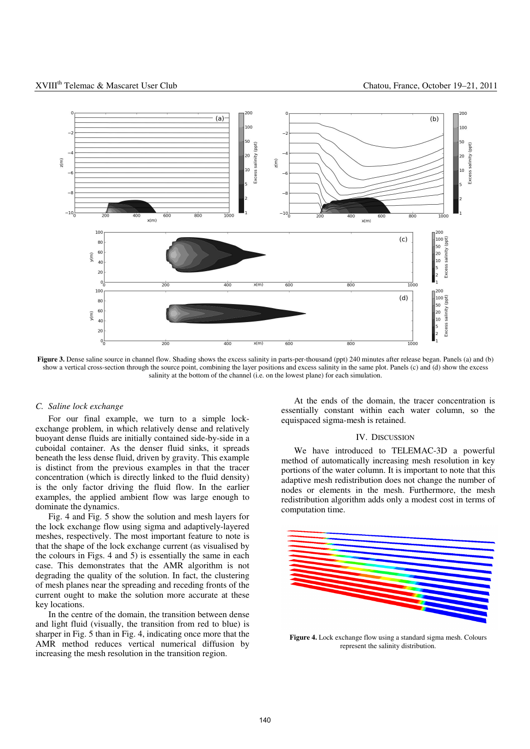

**Figure 3.** Dense saline source in channel flow. Shading shows the excess salinity in parts-per-thousand (ppt) 240 minutes after release began. Panels (a) and (b) show a vertical cross-section through the source point, combining the layer positions and excess salinity in the same plot. Panels (c) and (d) show the excess salinity at the bottom of the channel (i.e. on the lowest plane) for each simulation.

#### *C. Saline lock exchange*

For our final example, we turn to a simple lockexchange problem, in which relatively dense and relatively buoyant dense fluids are initially contained side-by-side in a cuboidal container. As the denser fluid sinks, it spreads beneath the less dense fluid, driven by gravity. This example is distinct from the previous examples in that the tracer concentration (which is directly linked to the fluid density) is the only factor driving the fluid flow. In the earlier examples, the applied ambient flow was large enough to dominate the dynamics.

Fig. 4 and Fig. 5 show the solution and mesh layers for the lock exchange flow using sigma and adaptively-layered meshes, respectively. The most important feature to note is that the shape of the lock exchange current (as visualised by the colours in Figs. 4 and 5) is essentially the same in each case. This demonstrates that the AMR algorithm is not degrading the quality of the solution. In fact, the clustering of mesh planes near the spreading and receding fronts of the current ought to make the solution more accurate at these key locations.

In the centre of the domain, the transition between dense and light fluid (visually, the transition from red to blue) is sharper in Fig. 5 than in Fig. 4, indicating once more that the AMR method reduces vertical numerical diffusion by increasing the mesh resolution in the transition region.

At the ends of the domain, the tracer concentration is essentially constant within each water column, so the equispaced sigma-mesh is retained.

#### IV. DISCUSSION

We have introduced to TELEMAC-3D a powerful method of automatically increasing mesh resolution in key portions of the water column. It is important to note that this adaptive mesh redistribution does not change the number of nodes or elements in the mesh. Furthermore, the mesh redistribution algorithm adds only a modest cost in terms of computation time.



**Figure 4.** Lock exchange flow using a standard sigma mesh. Colours represent the salinity distribution.